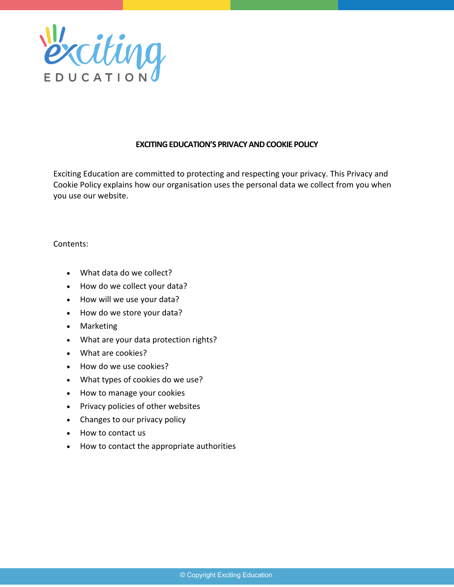

## **EXCITING EDUCATION'S PRIVACY AND COOKIE POLICY**

Exciting Education are committed to protecting and respecting your privacy. This Privacy and Cookie Policy explains how our organisation uses the personal data we collect from you when you use our website.

## Contents:

- What data do we collect?
- How do we collect your data?
- How will we use your data?
- How do we store your data?
- Marketing
- What are your data protection rights?
- What are cookies?
- How do we use cookies?
- What types of cookies do we use?
- How to manage your cookies
- Privacy policies of other websites
- Changes to our privacy policy
- How to contact us
- How to contact the appropriate authorities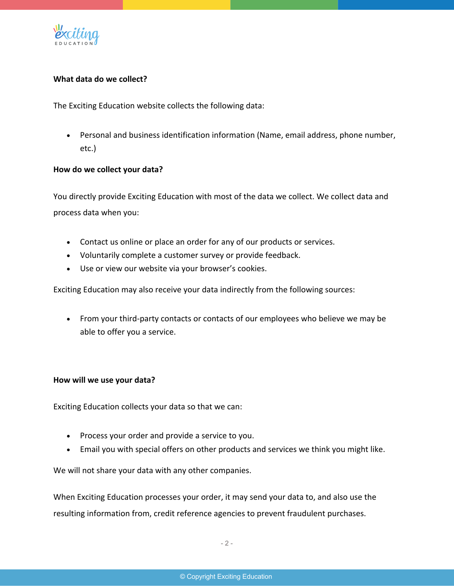

# **What data do we collect?**

The Exciting Education website collects the following data:

• Personal and business identification information (Name, email address, phone number, etc.)

## **How do we collect your data?**

You directly provide Exciting Education with most of the data we collect. We collect data and process data when you:

- Contact us online or place an order for any of our products or services.
- Voluntarily complete a customer survey or provide feedback.
- Use or view our website via your browser's cookies.

Exciting Education may also receive your data indirectly from the following sources:

• From your third-party contacts or contacts of our employees who believe we may be able to offer you a service.

#### **How will we use your data?**

Exciting Education collects your data so that we can:

- Process your order and provide a service to you.
- Email you with special offers on other products and services we think you might like.

We will not share your data with any other companies.

When Exciting Education processes your order, it may send your data to, and also use the resulting information from, credit reference agencies to prevent fraudulent purchases.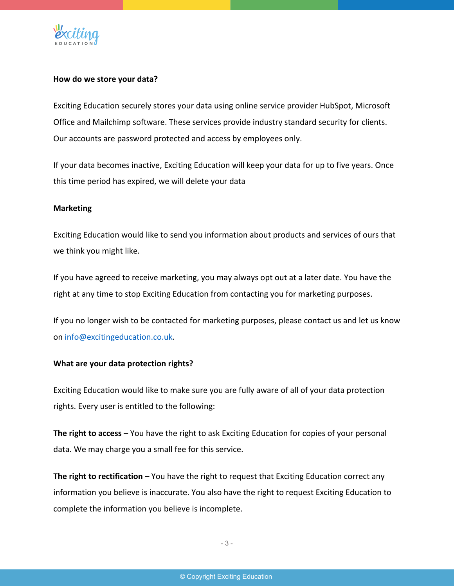

## **How do we store your data?**

Exciting Education securely stores your data using online service provider HubSpot, Microsoft Office and Mailchimp software. These services provide industry standard security for clients. Our accounts are password protected and access by employees only.

If your data becomes inactive, Exciting Education will keep your data for up to five years. Once this time period has expired, we will delete your data

#### **Marketing**

Exciting Education would like to send you information about products and services of ours that we think you might like.

If you have agreed to receive marketing, you may always opt out at a later date. You have the right at any time to stop Exciting Education from contacting you for marketing purposes.

If you no longer wish to be contacted for marketing purposes, please contact us and let us know on info@excitingeducation.co.uk.

## **What are your data protection rights?**

Exciting Education would like to make sure you are fully aware of all of your data protection rights. Every user is entitled to the following:

**The right to access** – You have the right to ask Exciting Education for copies of your personal data. We may charge you a small fee for this service.

**The right to rectification** – You have the right to request that Exciting Education correct any information you believe is inaccurate. You also have the right to request Exciting Education to complete the information you believe is incomplete.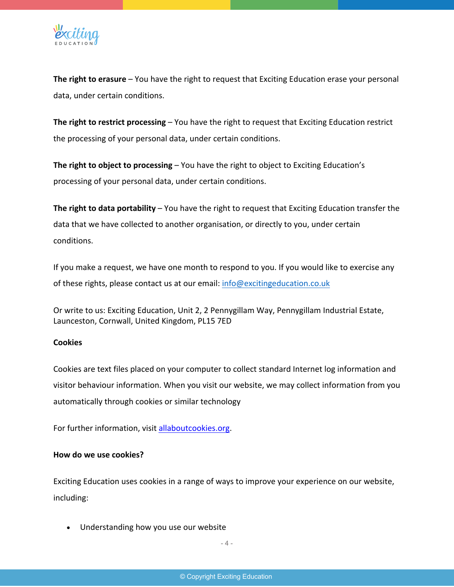

**The right to erasure** – You have the right to request that Exciting Education erase your personal data, under certain conditions.

**The right to restrict processing** – You have the right to request that Exciting Education restrict the processing of your personal data, under certain conditions.

**The right to object to processing** – You have the right to object to Exciting Education's processing of your personal data, under certain conditions.

**The right to data portability** – You have the right to request that Exciting Education transfer the data that we have collected to another organisation, or directly to you, under certain conditions.

If you make a request, we have one month to respond to you. If you would like to exercise any of these rights, please contact us at our email: info@excitingeducation.co.uk

Or write to us: Exciting Education, Unit 2, 2 Pennygillam Way, Pennygillam Industrial Estate, Launceston, Cornwall, United Kingdom, PL15 7ED

## **Cookies**

Cookies are text files placed on your computer to collect standard Internet log information and visitor behaviour information. When you visit our website, we may collect information from you automatically through cookies or similar technology

For further information, visit allaboutcookies.org.

## **How do we use cookies?**

Exciting Education uses cookies in a range of ways to improve your experience on our website, including:

• Understanding how you use our website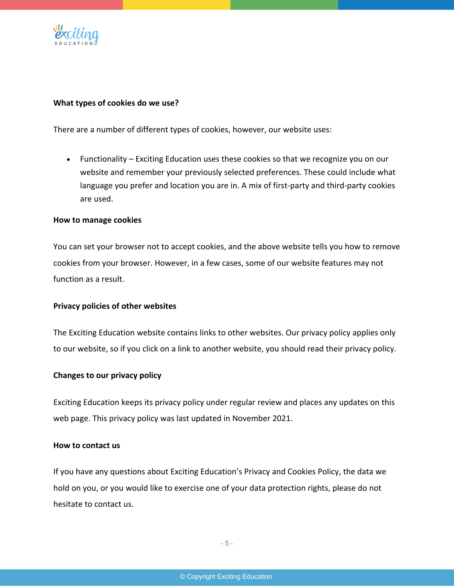

#### **What types of cookies do we use?**

There are a number of different types of cookies, however, our website uses:

• Functionality – Exciting Education uses these cookies so that we recognize you on our website and remember your previously selected preferences. These could include what language you prefer and location you are in. A mix of first-party and third-party cookies are used.

#### **How to manage cookies**

You can set your browser not to accept cookies, and the above website tells you how to remove cookies from your browser. However, in a few cases, some of our website features may not function as a result.

#### **Privacy policies of other websites**

The Exciting Education website contains links to other websites. Our privacy policy applies only to our website, so if you click on a link to another website, you should read their privacy policy.

#### **Changes to our privacy policy**

Exciting Education keeps its privacy policy under regular review and places any updates on this web page. This privacy policy was last updated in November 2021.

#### **How to contact us**

If you have any questions about Exciting Education's Privacy and Cookies Policy, the data we hold on you, or you would like to exercise one of your data protection rights, please do not hesitate to contact us.